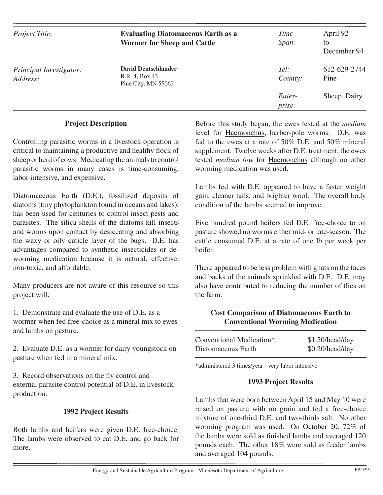| <i>Project Title:</i>               | <b>Evaluating Diatomaceous Earth as a</b><br><b>Wormer for Sheep and Cattle</b> | Time<br>Span:    | April 92<br>to<br>December 94 |
|-------------------------------------|---------------------------------------------------------------------------------|------------------|-------------------------------|
| Principal Investigator:<br>Address: | <b>David Deutschlander</b><br>R.R. 4, Box 43<br>Pine City, MN 55063             | Tel:<br>County:  | 612-629-2744<br>Pine          |
|                                     |                                                                                 | Enter-<br>prise: | Sheep, Dairy                  |

#### **Project Description**

Controlling parasitic worms in a livestock operation is critical to maintaining a productive and healthy flock of sheep or herd of cows. Medicating the animals to control parasitic worms in many cases is time-consuming, labor-intensive, and expensive.

Diatomaceous Earth (D.E.), fossilized deposits of diatoms (tiny phytoplankton found in oceans and lakes), has been used for centuries to control insect pests and parasites. The silica shells of the diatoms kill insects and worms upon contact by desiccating and absorbing the waxy or oily cuticle layer of the bugs. D.E. has advantages compared to synthetic insecticides or deworming medication because it is natural, effective, non-toxic, and affordable.

Many producers are not aware of this resource so this project will:

1. Demonstrate and evaluate the use of D.E. as a wormer when fed free-choice as a mineral mix to ewes and lambs on pasture.

2. Evaluate D.E. as a wormer for dairy youngstock on pasture when fed in a mineral mix.

3. Record observations on the fly control and external parasite control potential of D.E. in livestock production.

## **1992 Project Results**

Both lambs and heifers were given D.E. free-choice. The lambs were observed to eat D.E. and go back for more.

Before this study began, the ewes tested at the *medium*  level for Haemonchus, barber-pole worms. D.E. was fed to the ewes at a rate of 50% D.E. and 50% mineral supplement. Twelve weeks after D.E. treatment, the ewes tested *medium low* for Haemonchus although no other worming medication was used.

Lambs fed with D.E. appeared to have a faster weight gain, cleaner tails, and brighter wool. The overall body condition of the lambs seemed to improve.

Five hundred pound heifers fed D.E. free-choice to on pasture showed no worms either mid- or late-season. The cattle consumed D.E. at a rate of one lb per week per heifer.

There appeared to be less problem with gnats on the faces and backs of the animals sprinkled with D.E. D.E. may also have contributed to reducing the number of flies on the farm.

## **Cost Comparison of Diatomaceous Earth to Conventional Worming Medication**

| Conventional Medication* | \$1.50/head/day |
|--------------------------|-----------------|
| Diatomaceous Earth       | \$0.20/head/day |

\*administered 3 times/year - very labor intensive

#### **1993 Project Results**

Lambs that were born between April 15 and May 10 were raised on pasture with no grain and fed a free-choice mixture of one-third D.E. and two-thirds salt. No other worming program was used. On October 20, 72% of the lambs were sold as finished lambs and averaged 120 pounds each. The other 18% were sold as feeder lambs and averaged 104 pounds.